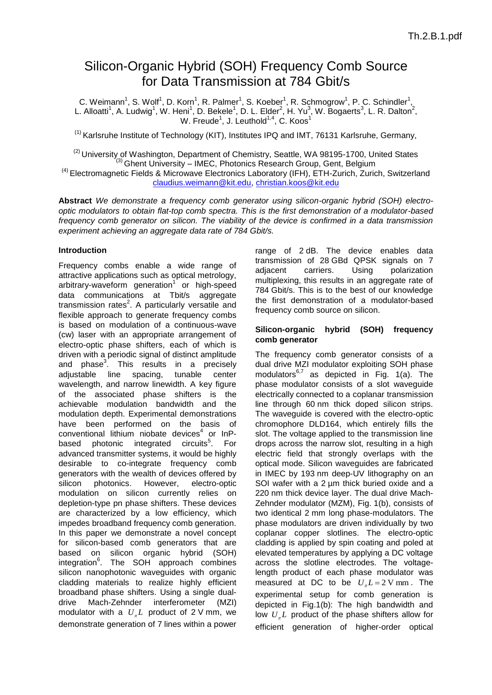# Silicon-Organic Hybrid (SOH) Frequency Comb Source for Data Transmission at 784 Gbit/s

C. Weimann<sup>1</sup>, S. Wolf<sup>1</sup>, D. Korn<sup>1</sup>, R. Palmer<sup>1</sup>, S. Koeber<sup>1</sup>, R. Schmogrow<sup>1</sup>, P. C. Schindler<sup>1</sup>, L. Alloatti<sup>1</sup>, A. Ludwig<sup>1</sup>, W. Heni<sup>1</sup>, D. Bekele<sup>1</sup>, D. L. Elder<sup>2</sup>, H. Yu<sup>3</sup>, W. Bogaerts<sup>3</sup>, L. R. Dalton<sup>2</sup>, W. Freude<sup>1</sup>, J. Leuthold $^{1,4}$ , C. Koos $^1$ 

 $<sup>(1)</sup>$  Karlsruhe Institute of Technology (KIT), Institutes IPQ and IMT, 76131 Karlsruhe, Germany,</sup>

<sup>(2)</sup> University of Washington, Department of Chemistry, Seattle, WA 98195-1700, United States  $<sup>(3)</sup>$  Ghent University – IMEC, Photonics Research Group, Gent, Belgium</sup> <sup>(4)</sup> Electromagnetic Fields & Microwave Electronics Laboratory (IFH), ETH-Zurich, Zurich, Switzerland [claudius.weimann@kit.edu,](mailto:claudius.weimann@kit.edu) [christian.koos@kit.edu](mailto:christian.koos@kit.edu) 

**Abstract** *We demonstrate a frequency comb generator using silicon-organic hybrid (SOH) electrooptic modulators to obtain flat-top comb spectra. This is the first demonstration of a modulator-based frequency comb generator on silicon. The viability of the device is confirmed in a data transmission experiment achieving an aggregate data rate of 784 Gbit/s.*

## **Introduction**

Frequency combs enable a wide range of attractive applications such as optical metrology, arbitrary-waveform generation<sup>1</sup> or high-speed data communications at Tbit/s aggregate transmission rates<sup>2</sup>. A particularly versatile and flexible approach to generate frequency combs is based on modulation of a continuous-wave (cw) laser with an appropriate arrangement of electro-optic phase shifters, each of which is driven with a periodic signal of distinct amplitude and phase<sup>3</sup>. This results in a precisely adjustable line spacing, tunable center wavelength, and narrow linewidth. A key figure of the associated phase shifters is the achievable modulation bandwidth and the modulation depth. Experimental demonstrations have been performed on the basis of conventional lithium niobate devices $4$  or InPbased photonic integrated circuits<sup>5</sup>. For advanced transmitter systems, it would be highly desirable to co-integrate frequency comb generators with the wealth of devices offered by silicon photonics. However, electro-optic modulation on silicon currently relies on depletion-type pn phase shifters. These devices are characterized by a low efficiency, which impedes broadband frequency comb generation. In this paper we demonstrate a novel concept for silicon-based comb generators that are based on silicon organic hybrid (SOH) integration<sup>6</sup>. The SOH approach combines silicon nanophotonic waveguides with organic cladding materials to realize highly efficient broadband phase shifters. Using a single dualdrive Mach-Zehnder interferometer (MZI) modulator with a  $U_{\pi}L$  product of 2 V mm, we demonstrate generation of 7 lines within a power

range of 2 dB. The device enables data transmission of 28 GBd QPSK signals on 7 adjacent carriers. Using polarization multiplexing, this results in an aggregate rate of 784 Gbit/s. This is to the best of our knowledge the first demonstration of a modulator-based frequency comb source on silicon.

## **Silicon-organic hybrid (SOH) frequency comb generator**

The frequency comb generator consists of a dual drive MZI modulator exploiting SOH phase modulators $^{6,7}$  as depicted in Fig. 1(a). The phase modulator consists of a slot waveguide electrically connected to a coplanar transmission line through 60 nm thick doped silicon strips. The waveguide is covered with the electro-optic chromophore DLD164, which entirely fills the slot. The voltage applied to the transmission line drops across the narrow slot, resulting in a high electric field that strongly overlaps with the optical mode. Silicon waveguides are fabricated in IMEC by 193 nm deep-UV lithography on an SOI wafer with a 2 um thick buried oxide and a 220 nm thick device layer. The dual drive Mach-Zehnder modulator (MZM), Fig. 1(b), consists of two identical 2 mm long phase-modulators. The phase modulators are driven individually by two coplanar copper slotlines. The electro-optic cladding is applied by spin coating and poled at elevated temperatures by applying a DC voltage across the slotline electrodes. The voltagelength product of each phase modulator was measured at DC to be  $U<sub>x</sub> L = 2 V mm$ . The experimental setup for comb generation is depicted in Fig.1(b): The high bandwidth and low  $U_{\pi}L$  product of the phase shifters allow for efficient generation of higher-order optical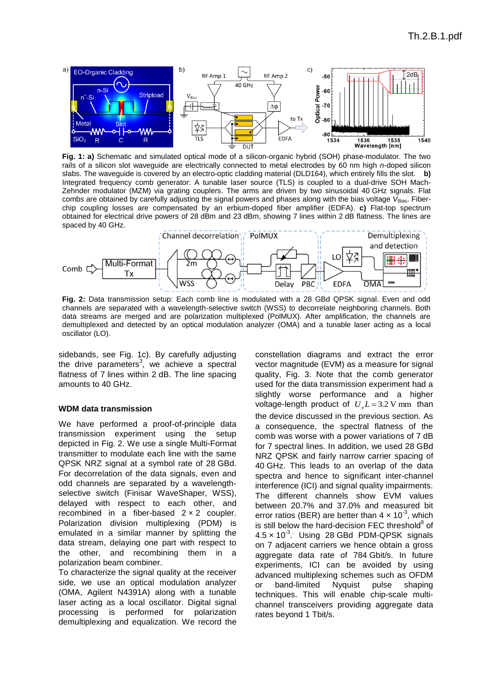

**Fig. 1: a)** Schematic and simulated optical mode of a silicon-organic hybrid (SOH) phase-modulator. The two rails of a silicon slot waveguide are electrically connected to metal electrodes by 60 nm high *n*-doped silicon slabs. The waveguide is covered by an electro-optic cladding material (DLD164), which entirely fills the slot. **b)**  Integrated frequency comb generator: A tunable laser source (TLS) is coupled to a dual-drive SOH Mach-Zehnder modulator (MZM) via grating couplers. The arms are driven by two sinusoidal 40 GHz signals. Flat combs are obtained by carefully adjusting the signal powers and phases along with the bias voltage V<sub>Bias</sub>. Fiberchip coupling losses are compensated by an erbium-doped fiber amplifier (EDFA). **c)** Flat-top spectrum obtained for electrical drive powers of 28 dBm and 23 dBm, showing 7 lines within 2 dB flatness. The lines are spaced by 40 GHz.



**Fig. 2:** Data transmission setup: Each comb line is modulated with a 28 GBd QPSK signal. Even and odd channels are separated with a wavelength-selective switch (WSS) to decorrelate neighboring channels. Both data streams are merged and are polarization multiplexed (PolMUX). After amplification, the channels are demultiplexed and detected by an optical modulation analyzer (OMA) and a tunable laser acting as a local oscillator (LO).

sidebands, see Fig. 1c). By carefully adjusting the drive parameters<sup>3</sup>, we achieve a spectral flatness of 7 lines within 2 dB. The line spacing amounts to 40 GHz.

## **WDM data transmission**

We have performed a proof-of-principle data transmission experiment using the setup depicted in Fig. 2. We use a single Multi-Format transmitter to modulate each line with the same QPSK NRZ signal at a symbol rate of 28 GBd. For decorrelation of the data signals, even and odd channels are separated by a wavelengthselective switch (Finisar WaveShaper, WSS), delayed with respect to each other, and recombined in a fiber-based  $2 \times 2$  coupler. Polarization division multiplexing (PDM) is emulated in a similar manner by splitting the data stream, delaying one part with respect to the other, and recombining them in a polarization beam combiner.

To characterize the signal quality at the receiver side, we use an optical modulation analyzer (OMA, Agilent N4391A) along with a tunable laser acting as a local oscillator. Digital signal processing is performed for polarization demultiplexing and equalization. We record the constellation diagrams and extract the error vector magnitude (EVM) as a measure for signal quality, Fig. 3. Note that the comb generator used for the data transmission experiment had a slightly worse performance and a higher voltage-length product of  $U<sub>x</sub> L = 3.2 V$  mm than the device discussed in the previous section. As a consequence, the spectral flatness of the comb was worse with a power variations of 7 dB for 7 spectral lines. In addition, we used 28 GBd NRZ QPSK and fairly narrow carrier spacing of 40 GHz. This leads to an overlap of the data spectra and hence to significant inter-channel interference (ICI) and signal quality impairments. The different channels show EVM values between 20.7% and 37.0% and measured bit error ratios (BER) are better than  $4 \times 10^{-3}$ , which is still below the hard-decision FEC threshold $8$  of  $4.5 \times 10^{-3}$ . Using 28 GBd PDM-QPSK signals on 7 adjacent carriers we hence obtain a gross aggregate data rate of 784 Gbit/s. In future experiments, ICI can be avoided by using advanced multiplexing schemes such as OFDM or band-limited Nyquist pulse shaping techniques. This will enable chip-scale multichannel transceivers providing aggregate data rates beyond 1 Tbit/s.